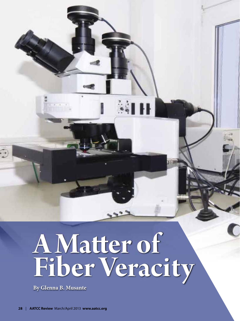# **A Matter of Fiber Veracity**

SHH

**By Glenna B. Musante**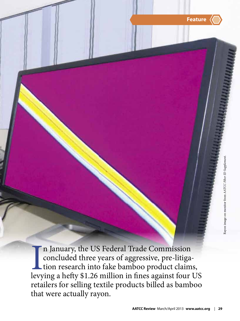

In January, the US Federal Trade Commission<br>concluded three years of aggressive, pre-litiga-<br>tion research into fake bamboo product claims,<br>levying a hefty \$1.26 million in fines against four US n January, the US Federal Trade Commission concluded three years of aggressive, pre-litigation research into fake bamboo product claims, retailers for selling textile products billed as bamboo that were actually rayon.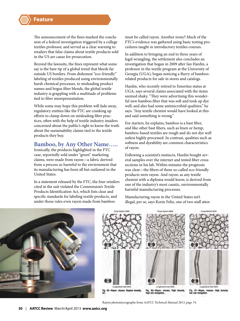The announcement of the fines marked the conclusion of a federal investigation triggered by a college textiles professor, and served as a clear warning to retailers that false claims about textile products sold in the US are cause for prosecution.

Beyond the lawsuits, the fines represent what some say is the bare tip of a global trend that bleeds far outside US borders. From dishonest "eco-friendly" labeling of textiles produced using environmentally harsh chemical processes, to misleading product names and bogus fiber blends, the global textile industry is grappling with a multitude of problems tied to fiber misrepresentation.

While some may hope this problem will fade away, regulatory entities like the FTC are cranking up efforts to clamp down on misleading fiber practices, often with the help of textile industry insiders concerned about the public's right to know the truth about the sustainability claims tied to the textile products they buy.

#### **Bamboo, by Any Other Name…..**

Ironically, the products highlighted in the FTC case, reportedly sold under "green" marketing claims, were made from rayon—a fabric derived from a process so harmful to the environment that its manufacturing has been all but outlawed in the United States.

In a statement released by the FTC, the four retailers cited in the suit violated the Commission's Textile Products Identification Act, which lists clear and specific standards for labeling textile products, and under those rules even rayon made from bamboo

must be called rayon. Another irony? Much of the FTC's evidence was gathered using basic testing procedures taught in introductory textiles courses.

In addition to bringing an end to three years of legal wrangling, the settlement also concludes an investigation that began in 2009 after Ian Hardin, a professor in the textile program at the University of Georgia (UGA), began noticing a flurry of bamboorelated products for sale in stores and catalogs.

Hardin, who recently retired to Emeritus status at UGA, says several claims associated with the items seemed shaky. "They were advertising this wonderful new bamboo fiber that was soft and took up dye well, and also had some antimicrobial qualities," he says. "Any textile chemist would have looked at this and said something is wrong."

For starters, he explains, bamboo is a bast fiber, and like other bast fibers, such as linen or hemp, bamboo-based textiles are rough and do not dye well unless highly processed. In contrast, qualities such as softness and dyeability are common characteristics of rayon.

Following a scientist's instincts, Hardin bought several samples over the internet and tested fiber cross sections in his lab. Within minutes the prognosis was clear—the fibers of these so-called eco-friendly products were rayon. And rayon, as any textile chemist with a diploma would know, is derived from one of the industry's most caustic, environmentally harmful manufacturing processes.

Manufacturing rayon in the United States isn't illegal, per se, says Korin Felix, one of two staff attor-





Rayon photomicrographs from AATCC Technical Manual 2013, page 74.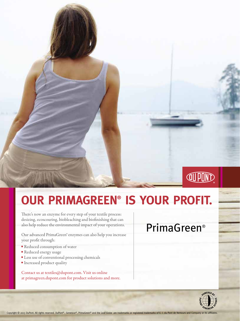## **[OUR PRIMAGREEN®](http://primagreen.dupont.com) IS YOUR PROFIT.**

There's now an enzyme for every step of your textile process: desizing, ecoscouring, biobleaching and biofinishing that can also help reduce the environmental impact of your operations.

Our advanced PrimaGreen® enzymes can also help you increase your profit through:

- Reduced consumption of water
- Reduced energy usage
- Less use of conventional processing chemicals
- **Increased product quality**

Contact us at textiles@dupont.com. Visit us online at primagreen.dupont.com for product solutions and more.

### PrimaGreen®

**JUPD** 

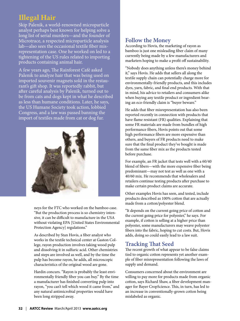#### **Illegal Hair**

Skip Palenik, a world-renowned microparticle analyst perhaps best known for helping solve a long list of serial murders—and the founder of Microtrace, a respected microparticle analysis lab—also sees the occasional textile fiber misrepresentation case. One he worked on led to a tightening of the US rules related to importing products containing animal hair.

A few years ago, The Rainforest Café asked Palenik to analyze hair that was being used on imported souvenir magnets sold in the restaurant's gift shop. It was reportedly rabbit, but after careful analysis by Palenik, turned out to be from cats and dogs kept in what he described as less than humane conditions. Later, he says, the US Humane Society took action, lobbied Congress, and a law was passed banning the import of textiles made from cat or dog fur.



neys for the FTC who worked on the bamboo case. "But the production process is so chemistry intensive, it can be difficult to manufacture in the USA without violating EPA [United States Environmental Protection Agency] regulations."

As described by Stan Hovis, a fiber analyst who works in the textile technical center at Gaston College, rayon production involves taking wood pulp and dissolving it in sulfuric acid. Other chemistries and steps are involved as well, and by the time the pulp has become rayon, he adds, all microscopic characteristics of the original wood are gone.

Hardin concurs. "Rayon is probably the least environmentally friendly fiber you can buy." By the time a manufacturer has finished converting pulp into rayon, "you can't tell which wood it came from," and any natural antimicrobial properties would have been long stripped away.

#### **Follow the Money**

According to Hovis, the marketing of rayon as bamboo is just one misleading fiber claim of many currently being made by a few manufacturers and marketers hoping to make a profit off sustainability.

"Nobody does anything unless there's money behind it," says Hovis. He adds that sellers all along the textile supply chain can potentially charge more for environmentally-friendly products, and this includes dyes, yarn, fabric, and final end products. With that in mind, his advice to retailers and consumers alike when buying any textile product or ingredient bearing an eco-friendly claim is "buyer beware."

He adds that fiber misrepresentation has also been reported recently in connection with products that have flame resistant (FR) qualities. Explaining that some FR materials are made from bundles of high performance fibers, Hovis points out that some high performance fibers are more expensive than others, and buyers of FR products need to make sure that the final product they've bought is made from the same fiber mix as the products tested before purchase.

For example, an FR jacket that tests well with a 60/40 blend of fibers—with the more expensive fiber being predominant—may not test as well as one with a 40/60 mix. He recommends that wholesalers and retailers continue testing products after purchase to make certain product claims are accurate.

Other examples Hovis has seen, and tested, include products described as 100% cotton that are actually made from a cotton/polyester blend.

"It depends on the current going price of cotton and the current going price for polyester," he says. For example, if cotton is selling at a higher price than polyester, some manufacturers may weave polyester fibers into the fabric, hoping to cut costs. But, Hovis adds, doing so could easily lead to a law suit.

#### **Tracking That Seed**

The recent growth of what appear to be false claims tied to organic cotton represents yet another example of fiber misrepresentation following the laws of supply and demand.

Consumers concerned about the environment are willing to pay more for products made from organic cotton, says Richard Shaw, a fiber development manager for Bayer CropScience. This, in turn, has led to an increase in conventionally-grown cotton being mislabeled as organic.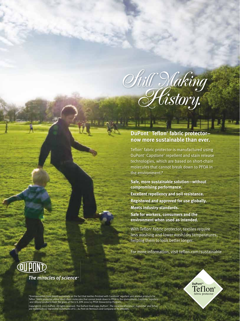

**SUBLING AND .** 

#### **DuPont™ Tefl on® fabric protector– [now more sustainable than ever.](http://teflon.com/sustainable)**

Teflon<sup>®</sup> fabric protector is manufactured using DuPont<sup>™</sup> Capstone<sup>®</sup> repellent and stain release technologies, which are based on short-chain molecules that cannot break down to PFOA in the environment.\*

**Safe, more sustainable solution—without compromising performance.**

**Excellent repellency and soil resistance. Registered and approved for use globally. Meets industry standards.**

**Safe for workers, consumers and the environment when used as intended.**

With Teflon® fabric protector, textiles require less washing and lower wash/dry temperatures, helping them to look better longer.

For more information, visit teflon.com/sustainable



The miracles of science<sup>™</sup>



\*Environmental claim based exclusively on the fact that textiles finished with Capstone" repellent and release products for<br>Teflon" fabric protector utilize short-chain molecules that cannot break down to PFOA in the envir Copyright © 2013 DuPont. All rights reserved. The DuPont Oval Logo, DuPont™, The miracles of science™, Capstone®and Teflon® are trademarks or registered trademarks of E.I. du Pont de Nemours and Company or its affiliates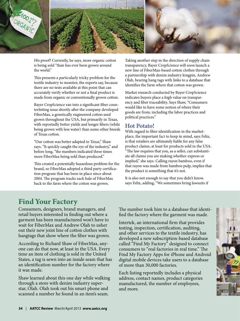

His proof? Currently, he says, more organic cotton is being sold "than has ever been grown around the world."

This presents a particularly tricky problem for the textile industry to monitor, the experts say, because there are no tests available at this point that can accurately verify whether or not a final product is made from organic or conventionally grown cotton.

Bayer CropScience ran into a significant fiber counterfeiting issue shortly after the company developed FiberMax, a genetically engineered cotton seed grown throughout the USA, but primarily in Texas, with reportedly better yields and longer fibers (while being grown with less water) than some other breeds of Texas cotton.

"Our cotton was better adapted to Texas," Shaw says. "It quickly caught the eye of the industry," and before long, "the numbers indicated three times more FiberMax being sold than produced."

This created a potentially hazardous problem for the brand, so FiberMax adopted a third party certification program that has been in place since about 2004. The program tracks each bale of FiberMax back to the farm where the cotton was grown.

Taking another step in the direction of supply chain transparency, Bayer CropScience will soon launch a new line of FiberMax-based cotton clothes through a partnership with denim industry kingpin, Andrew Olah, bearing hang tags with links to a database that identifies the farm where that cotton was grown.

Market research conducted by Bayer CropScience indicates buyers place a high value on transparency and fiber traceability. Says Shaw, "Consumers would like to have some notion of where their goods are from, including the labor practices and political practices."

#### **Hot Potato!**

With regard to fiber identification in the marketplace, the important fact to keep in mind, says Felix, is that retailers are ultimately liable for any false product claims, at least for products sold in the USA. "The law requires that you, as a seller, can substantiate all claims you are making whether express or implied," she says. Calling rayon bamboo, even if that rayon was made from bamboo pulp, implies that the product is something that it's not.

It is also not enough to say that you didn't know, says Felix, adding, "We sometimes bring lawsuits if

#### **Find Your Factory**

Consumers, designers, brand managers, and retail buyers interested in finding out where a garment has been manufactured won't have to wait for FiberMax and Andrew Olah to usher out their new joint line of cotton clothes with hangtags that show where the fiber was grown.

According to Richard Shaw of FiberMax, anyone can do that now, at least in the USA. Every time an item of clothing is sold in the United States, a tag is sewn into an inside seam that has an identification number for the factory where it was made.

Shaw learned about this one day while walking through a store with denim industry superstar, Olah. Olah took out his smart phone and scanned a number he found in an item's seam.

The number took him to a database that identified the factory where the garment was made.

Intertek, an international firm that provides testing, inspection, certification, auditing, and other services to the textile industry, has developed a new subscription-based database called "Find My Factory" designed to connect consumers to "real factories in real time." The Find My Factory Apps for iPhone and Android digital mobile devices take users to a database of more than 30,000 factories.

Each listing reportedly includes a physical address, contact names, product categories manufactured, the number of employees, and more.